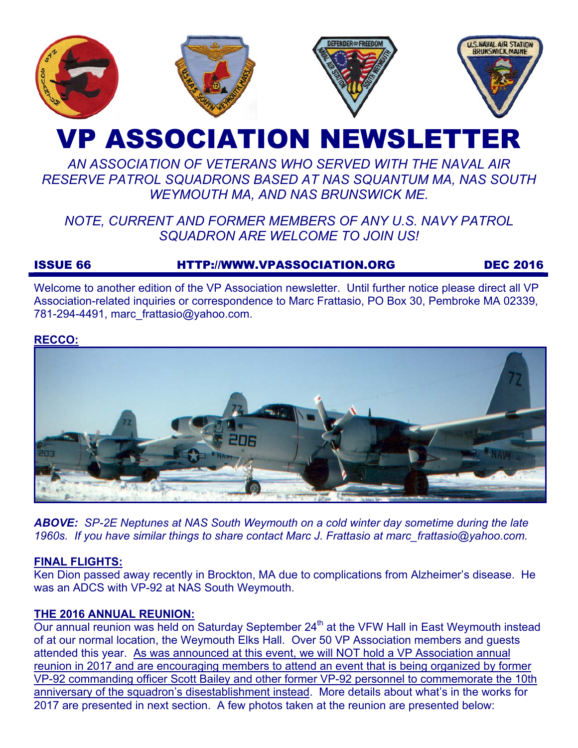

# VP ASSOCIATION NEWSLETTER

# *AN ASSOCIATION OF VETERANS WHO SERVED WITH THE NAVAL AIR RESERVE PATROL SQUADRONS BASED AT NAS SQUANTUM MA, NAS SOUTH WEYMOUTH MA, AND NAS BRUNSWICK ME.*

# *NOTE, CURRENT AND FORMER MEMBERS OF ANY U.S. NAVY PATROL SQUADRON ARE WELCOME TO JOIN US!*

# ISSUE 66 HTTP://WWW.VPASSOCIATION.ORG DEC 2016

Welcome to another edition of the VP Association newsletter. Until further notice please direct all VP Association-related inquiries or correspondence to Marc Frattasio, PO Box 30, Pembroke MA 02339, 781-294-4491, marc\_frattasio@yahoo.com.

#### **RECCO:**



*ABOVE: SP-2E Neptunes at NAS South Weymouth on a cold winter day sometime during the late 1960s. If you have similar things to share contact Marc J. Frattasio at marc\_frattasio@yahoo.com.* 

## **FINAL FLIGHTS:**

Ken Dion passed away recently in Brockton, MA due to complications from Alzheimer's disease. He was an ADCS with VP-92 at NAS South Weymouth.

#### **THE 2016 ANNUAL REUNION:**

Our annual reunion was held on Saturday September 24<sup>th</sup> at the VFW Hall in East Weymouth instead of at our normal location, the Weymouth Elks Hall. Over 50 VP Association members and guests attended this year. As was announced at this event, we will NOT hold a VP Association annual reunion in 2017 and are encouraging members to attend an event that is being organized by former VP-92 commanding officer Scott Bailey and other former VP-92 personnel to commemorate the 10th anniversary of the squadron's disestablishment instead. More details about what's in the works for 2017 are presented in next section. A few photos taken at the reunion are presented below: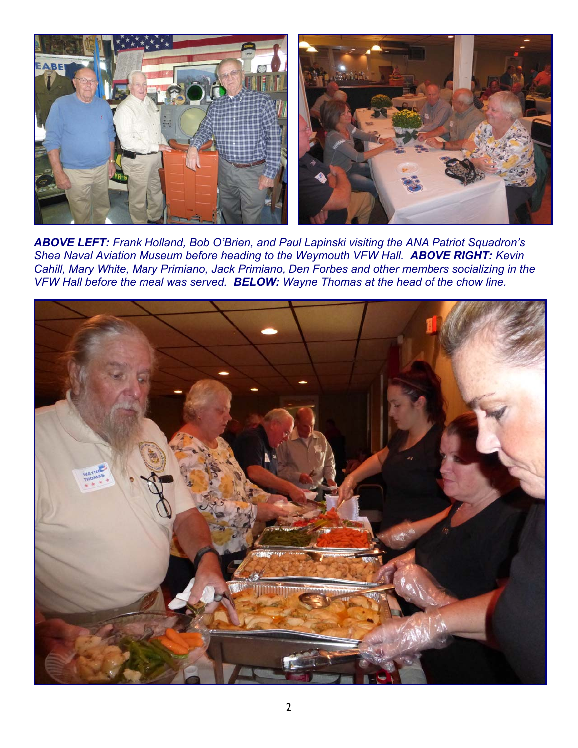

*ABOVE LEFT: Frank Holland, Bob O'Brien, and Paul Lapinski visiting the ANA Patriot Squadron's Shea Naval Aviation Museum before heading to the Weymouth VFW Hall. ABOVE RIGHT: Kevin Cahill, Mary White, Mary Primiano, Jack Primiano, Den Forbes and other members socializing in the VFW Hall before the meal was served. BELOW: Wayne Thomas at the head of the chow line.* 

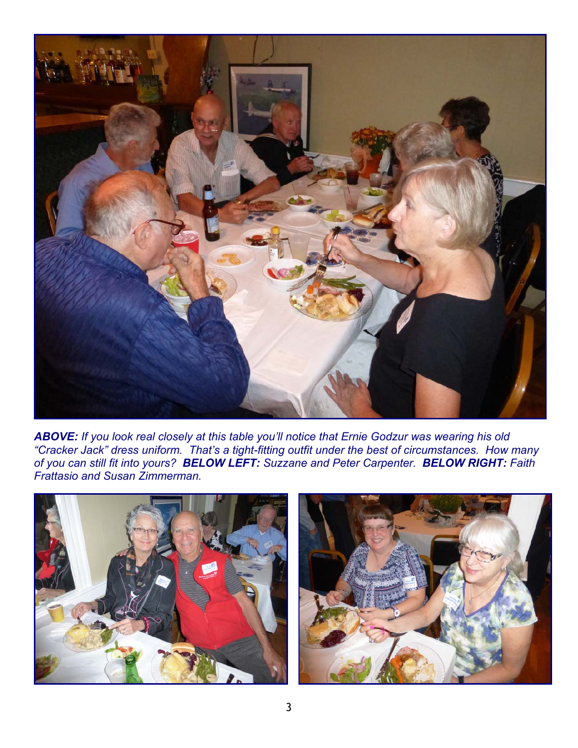

*ABOVE: If you look real closely at this table you'll notice that Ernie Godzur was wearing his old "Cracker Jack" dress uniform. That's a tight-fitting outfit under the best of circumstances. How many of you can still fit into yours? BELOW LEFT: Suzzane and Peter Carpenter. BELOW RIGHT: Faith Frattasio and Susan Zimmerman.* 



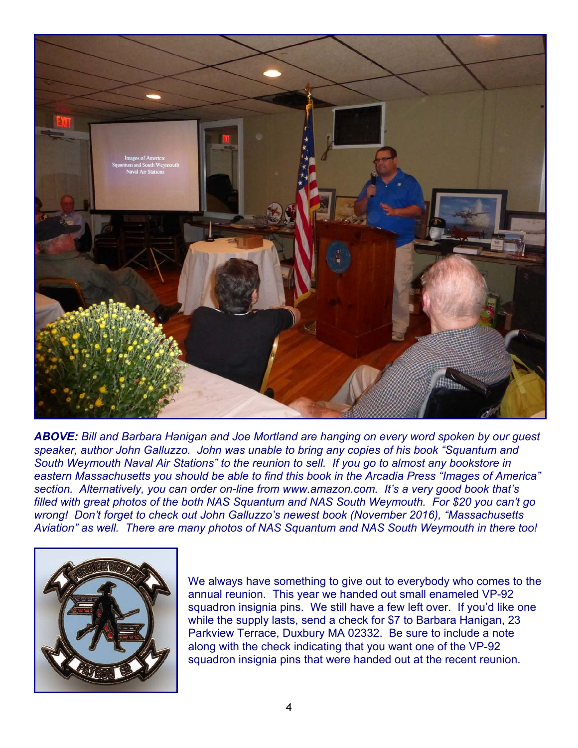

*ABOVE: Bill and Barbara Hanigan and Joe Mortland are hanging on every word spoken by our guest speaker, author John Galluzzo. John was unable to bring any copies of his book "Squantum and South Weymouth Naval Air Stations" to the reunion to sell. If you go to almost any bookstore in eastern Massachusetts you should be able to find this book in the Arcadia Press "Images of America" section. Alternatively, you can order on-line from www.amazon.com. It's a very good book that's filled with great photos of the both NAS Squantum and NAS South Weymouth. For \$20 you can't go wrong! Don't forget to check out John Galluzzo's newest book (November 2016), "Massachusetts Aviation" as well. There are many photos of NAS Squantum and NAS South Weymouth in there too!* 



We always have something to give out to everybody who comes to the annual reunion. This year we handed out small enameled VP-92 squadron insignia pins. We still have a few left over. If you'd like one while the supply lasts, send a check for \$7 to Barbara Hanigan, 23 Parkview Terrace, Duxbury MA 02332. Be sure to include a note along with the check indicating that you want one of the VP-92 squadron insignia pins that were handed out at the recent reunion.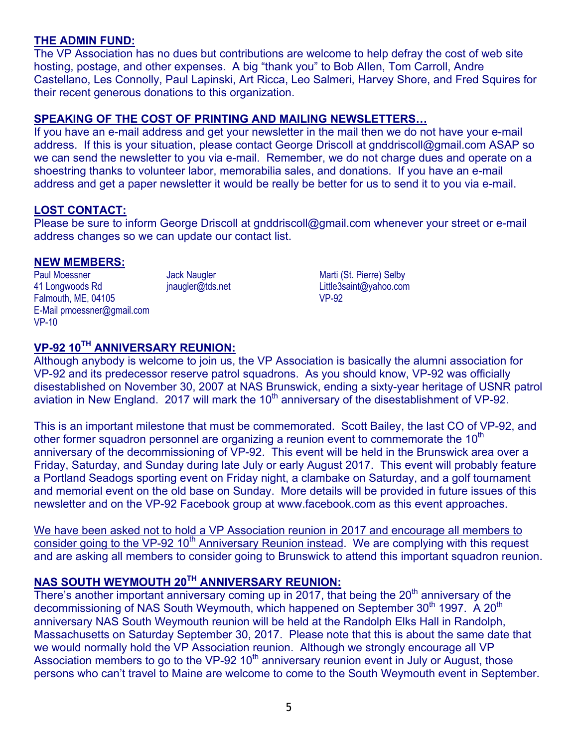#### **THE ADMIN FUND:**

The VP Association has no dues but contributions are welcome to help defray the cost of web site hosting, postage, and other expenses. A big "thank you" to Bob Allen, Tom Carroll, Andre Castellano, Les Connolly, Paul Lapinski, Art Ricca, Leo Salmeri, Harvey Shore, and Fred Squires for their recent generous donations to this organization.

#### **SPEAKING OF THE COST OF PRINTING AND MAILING NEWSLETTERS…**

If you have an e-mail address and get your newsletter in the mail then we do not have your e-mail address. If this is your situation, please contact George Driscoll at gnddriscoll@gmail.com ASAP so we can send the newsletter to you via e-mail. Remember, we do not charge dues and operate on a shoestring thanks to volunteer labor, memorabilia sales, and donations. If you have an e-mail address and get a paper newsletter it would be really be better for us to send it to you via e-mail.

## **LOST CONTACT:**

Please be sure to inform George Driscoll at gnddriscoll@gmail.com whenever your street or e-mail address changes so we can update our contact list.

#### **NEW MEMBERS:**

Paul Moessner 41 Longwoods Rd Falmouth, ME, 04105 E-Mail pmoessner@gmail.com VP-10

Jack Naugler jnaugler@tds.net

Marti (St. Pierre) Selby Little3saint@yahoo.com VP-92

# **VP-92 10TH ANNIVERSARY REUNION:**

Although anybody is welcome to join us, the VP Association is basically the alumni association for VP-92 and its predecessor reserve patrol squadrons. As you should know, VP-92 was officially disestablished on November 30, 2007 at NAS Brunswick, ending a sixty-year heritage of USNR patrol aviation in New England. 2017 will mark the  $10<sup>th</sup>$  anniversary of the disestablishment of VP-92.

This is an important milestone that must be commemorated. Scott Bailey, the last CO of VP-92, and other former squadron personnel are organizing a reunion event to commemorate the  $10<sup>th</sup>$ anniversary of the decommissioning of VP-92. This event will be held in the Brunswick area over a Friday, Saturday, and Sunday during late July or early August 2017. This event will probably feature a Portland Seadogs sporting event on Friday night, a clambake on Saturday, and a golf tournament and memorial event on the old base on Sunday. More details will be provided in future issues of this newsletter and on the VP-92 Facebook group at www.facebook.com as this event approaches.

We have been asked not to hold a VP Association reunion in 2017 and encourage all members to consider going to the VP-92 10<sup>th</sup> Anniversary Reunion instead. We are complying with this request and are asking all members to consider going to Brunswick to attend this important squadron reunion.

# **NAS SOUTH WEYMOUTH 20TH ANNIVERSARY REUNION:**

There's another important anniversary coming up in 2017, that being the  $20<sup>th</sup>$  anniversary of the decommissioning of NAS South Weymouth, which happened on September 30<sup>th</sup> 1997. A 20<sup>th</sup> anniversary NAS South Weymouth reunion will be held at the Randolph Elks Hall in Randolph, Massachusetts on Saturday September 30, 2017. Please note that this is about the same date that we would normally hold the VP Association reunion. Although we strongly encourage all VP Association members to go to the VP-92  $10<sup>th</sup>$  anniversary reunion event in July or August, those persons who can't travel to Maine are welcome to come to the South Weymouth event in September.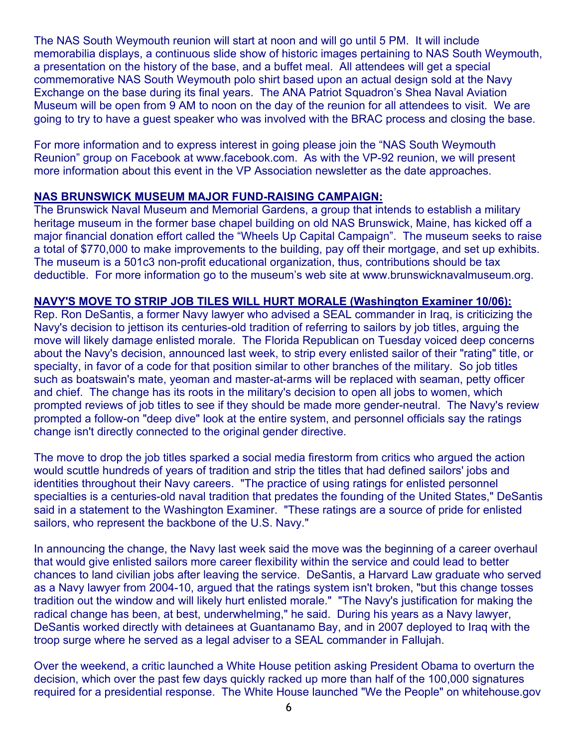The NAS South Weymouth reunion will start at noon and will go until 5 PM. It will include memorabilia displays, a continuous slide show of historic images pertaining to NAS South Weymouth, a presentation on the history of the base, and a buffet meal. All attendees will get a special commemorative NAS South Weymouth polo shirt based upon an actual design sold at the Navy Exchange on the base during its final years. The ANA Patriot Squadron's Shea Naval Aviation Museum will be open from 9 AM to noon on the day of the reunion for all attendees to visit. We are going to try to have a guest speaker who was involved with the BRAC process and closing the base.

For more information and to express interest in going please join the "NAS South Weymouth Reunion" group on Facebook at www.facebook.com. As with the VP-92 reunion, we will present more information about this event in the VP Association newsletter as the date approaches.

#### **NAS BRUNSWICK MUSEUM MAJOR FUND-RAISING CAMPAIGN:**

The Brunswick Naval Museum and Memorial Gardens, a group that intends to establish a military heritage museum in the former base chapel building on old NAS Brunswick, Maine, has kicked off a major financial donation effort called the "Wheels Up Capital Campaign". The museum seeks to raise a total of \$770,000 to make improvements to the building, pay off their mortgage, and set up exhibits. The museum is a 501c3 non-profit educational organization, thus, contributions should be tax deductible. For more information go to the museum's web site at www.brunswicknavalmuseum.org.

#### **NAVY'S MOVE TO STRIP JOB TILES WILL HURT MORALE (Washington Examiner 10/06):**

Rep. Ron DeSantis, a former Navy lawyer who advised a SEAL commander in Iraq, is criticizing the Navy's decision to jettison its centuries-old tradition of referring to sailors by job titles, arguing the move will likely damage enlisted morale. The Florida Republican on Tuesday voiced deep concerns about the Navy's decision, announced last week, to strip every enlisted sailor of their "rating" title, or specialty, in favor of a code for that position similar to other branches of the military. So job titles such as boatswain's mate, yeoman and master-at-arms will be replaced with seaman, petty officer and chief. The change has its roots in the military's decision to open all jobs to women, which prompted reviews of job titles to see if they should be made more gender-neutral. The Navy's review prompted a follow-on "deep dive" look at the entire system, and personnel officials say the ratings change isn't directly connected to the original gender directive.

The move to drop the job titles sparked a social media firestorm from critics who argued the action would scuttle hundreds of years of tradition and strip the titles that had defined sailors' jobs and identities throughout their Navy careers. "The practice of using ratings for enlisted personnel specialties is a centuries-old naval tradition that predates the founding of the United States," DeSantis said in a statement to the Washington Examiner. "These ratings are a source of pride for enlisted sailors, who represent the backbone of the U.S. Navy."

In announcing the change, the Navy last week said the move was the beginning of a career overhaul that would give enlisted sailors more career flexibility within the service and could lead to better chances to land civilian jobs after leaving the service. DeSantis, a Harvard Law graduate who served as a Navy lawyer from 2004-10, argued that the ratings system isn't broken, "but this change tosses tradition out the window and will likely hurt enlisted morale." "The Navy's justification for making the radical change has been, at best, underwhelming," he said. During his years as a Navy lawyer, DeSantis worked directly with detainees at Guantanamo Bay, and in 2007 deployed to Iraq with the troop surge where he served as a legal adviser to a SEAL commander in Fallujah.

Over the weekend, a critic launched a White House petition asking President Obama to overturn the decision, which over the past few days quickly racked up more than half of the 100,000 signatures required for a presidential response. The White House launched "We the People" on whitehouse.gov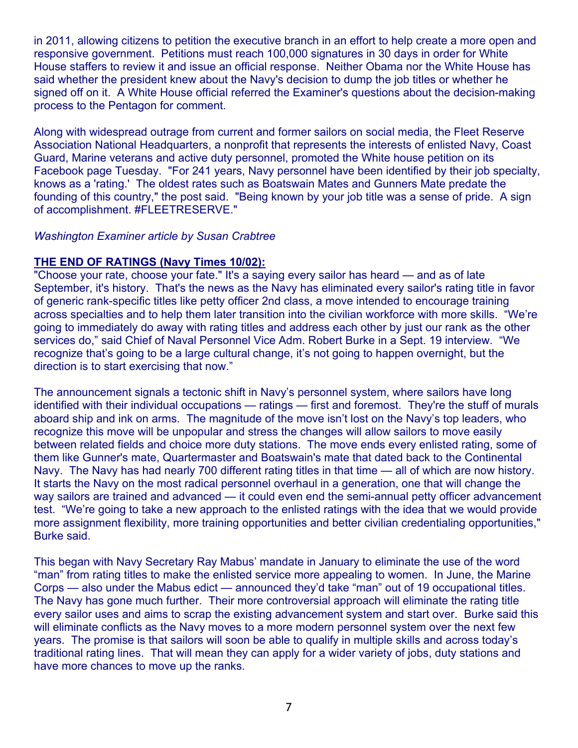in 2011, allowing citizens to petition the executive branch in an effort to help create a more open and responsive government. Petitions must reach 100,000 signatures in 30 days in order for White House staffers to review it and issue an official response. Neither Obama nor the White House has said whether the president knew about the Navy's decision to dump the job titles or whether he signed off on it. A White House official referred the Examiner's questions about the decision-making process to the Pentagon for comment.

Along with widespread outrage from current and former sailors on social media, the Fleet Reserve Association National Headquarters, a nonprofit that represents the interests of enlisted Navy, Coast Guard, Marine veterans and active duty personnel, promoted the White house petition on its Facebook page Tuesday. "For 241 years, Navy personnel have been identified by their job specialty, knows as a 'rating.' The oldest rates such as Boatswain Mates and Gunners Mate predate the founding of this country," the post said. "Being known by your job title was a sense of pride. A sign of accomplishment. #FLEETRESERVE."

#### *Washington Examiner article by Susan Crabtree*

#### **THE END OF RATINGS (Navy Times 10/02):**

"Choose your rate, choose your fate." It's a saying every sailor has heard — and as of late September, it's history. That's the news as the Navy has eliminated every sailor's rating title in favor of generic rank-specific titles like petty officer 2nd class, a move intended to encourage training across specialties and to help them later transition into the civilian workforce with more skills. "We're going to immediately do away with rating titles and address each other by just our rank as the other services do," said Chief of Naval Personnel Vice Adm. Robert Burke in a Sept. 19 interview. "We recognize that's going to be a large cultural change, it's not going to happen overnight, but the direction is to start exercising that now."

The announcement signals a tectonic shift in Navy's personnel system, where sailors have long identified with their individual occupations — ratings — first and foremost. They're the stuff of murals aboard ship and ink on arms. The magnitude of the move isn't lost on the Navy's top leaders, who recognize this move will be unpopular and stress the changes will allow sailors to move easily between related fields and choice more duty stations. The move ends every enlisted rating, some of them like Gunner's mate, Quartermaster and Boatswain's mate that dated back to the Continental Navy. The Navy has had nearly 700 different rating titles in that time — all of which are now history. It starts the Navy on the most radical personnel overhaul in a generation, one that will change the way sailors are trained and advanced — it could even end the semi-annual petty officer advancement test. "We're going to take a new approach to the enlisted ratings with the idea that we would provide more assignment flexibility, more training opportunities and better civilian credentialing opportunities," Burke said.

This began with Navy Secretary Ray Mabus' mandate in January to eliminate the use of the word "man" from rating titles to make the enlisted service more appealing to women. In June, the Marine Corps — also under the Mabus edict — announced they'd take "man" out of 19 occupational titles. The Navy has gone much further. Their more controversial approach will eliminate the rating title every sailor uses and aims to scrap the existing advancement system and start over. Burke said this will eliminate conflicts as the Navy moves to a more modern personnel system over the next few years. The promise is that sailors will soon be able to qualify in multiple skills and across today's traditional rating lines. That will mean they can apply for a wider variety of jobs, duty stations and have more chances to move up the ranks.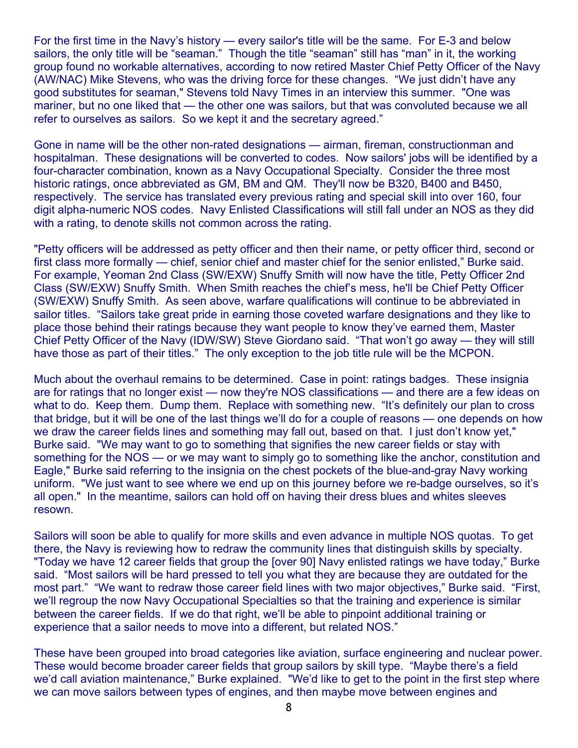For the first time in the Navy's history — every sailor's title will be the same. For E-3 and below sailors, the only title will be "seaman." Though the title "seaman" still has "man" in it, the working group found no workable alternatives, according to now retired Master Chief Petty Officer of the Navy (AW/NAC) Mike Stevens, who was the driving force for these changes. "We just didn't have any good substitutes for seaman," Stevens told Navy Times in an interview this summer. "One was mariner, but no one liked that — the other one was sailors, but that was convoluted because we all refer to ourselves as sailors. So we kept it and the secretary agreed."

Gone in name will be the other non-rated designations — airman, fireman, constructionman and hospitalman. These designations will be converted to codes. Now sailors' jobs will be identified by a four-character combination, known as a Navy Occupational Specialty. Consider the three most historic ratings, once abbreviated as GM, BM and QM. They'll now be B320, B400 and B450, respectively. The service has translated every previous rating and special skill into over 160, four digit alpha-numeric NOS codes. Navy Enlisted Classifications will still fall under an NOS as they did with a rating, to denote skills not common across the rating.

"Petty officers will be addressed as petty officer and then their name, or petty officer third, second or first class more formally — chief, senior chief and master chief for the senior enlisted," Burke said. For example, Yeoman 2nd Class (SW/EXW) Snuffy Smith will now have the title, Petty Officer 2nd Class (SW/EXW) Snuffy Smith. When Smith reaches the chief's mess, he'll be Chief Petty Officer (SW/EXW) Snuffy Smith. As seen above, warfare qualifications will continue to be abbreviated in sailor titles. "Sailors take great pride in earning those coveted warfare designations and they like to place those behind their ratings because they want people to know they've earned them, Master Chief Petty Officer of the Navy (IDW/SW) Steve Giordano said. "That won't go away — they will still have those as part of their titles." The only exception to the job title rule will be the MCPON.

Much about the overhaul remains to be determined. Case in point: ratings badges. These insignia are for ratings that no longer exist — now they're NOS classifications — and there are a few ideas on what to do. Keep them. Dump them. Replace with something new. "It's definitely our plan to cross that bridge, but it will be one of the last things we'll do for a couple of reasons — one depends on how we draw the career fields lines and something may fall out, based on that. I just don't know yet," Burke said. "We may want to go to something that signifies the new career fields or stay with something for the NOS — or we may want to simply go to something like the anchor, constitution and Eagle," Burke said referring to the insignia on the chest pockets of the blue-and-gray Navy working uniform. "We just want to see where we end up on this journey before we re-badge ourselves, so it's all open." In the meantime, sailors can hold off on having their dress blues and whites sleeves resown.

Sailors will soon be able to qualify for more skills and even advance in multiple NOS quotas. To get there, the Navy is reviewing how to redraw the community lines that distinguish skills by specialty. "Today we have 12 career fields that group the [over 90] Navy enlisted ratings we have today," Burke said. "Most sailors will be hard pressed to tell you what they are because they are outdated for the most part." "We want to redraw those career field lines with two major objectives," Burke said. "First, we'll regroup the now Navy Occupational Specialties so that the training and experience is similar between the career fields. If we do that right, we'll be able to pinpoint additional training or experience that a sailor needs to move into a different, but related NOS."

These have been grouped into broad categories like aviation, surface engineering and nuclear power. These would become broader career fields that group sailors by skill type. "Maybe there's a field we'd call aviation maintenance," Burke explained. "We'd like to get to the point in the first step where we can move sailors between types of engines, and then maybe move between engines and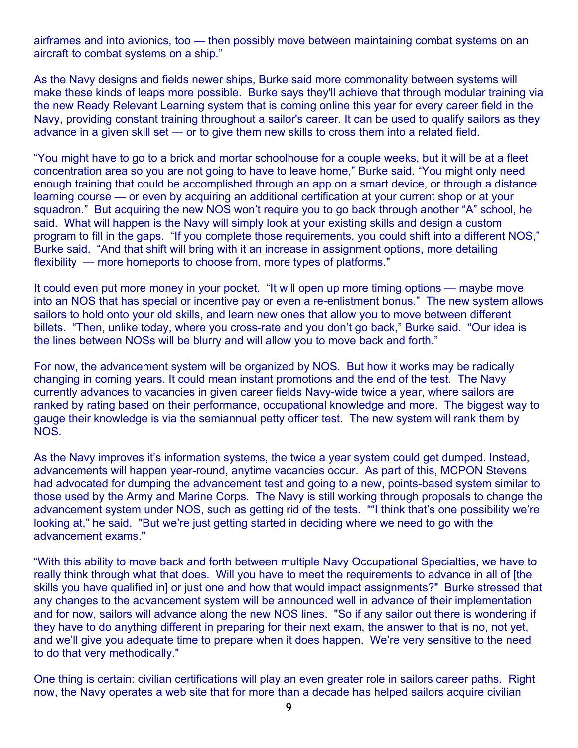airframes and into avionics, too — then possibly move between maintaining combat systems on an aircraft to combat systems on a ship."

As the Navy designs and fields newer ships, Burke said more commonality between systems will make these kinds of leaps more possible. Burke says they'll achieve that through modular training via the new Ready Relevant Learning system that is coming online this year for every career field in the Navy, providing constant training throughout a sailor's career. It can be used to qualify sailors as they advance in a given skill set — or to give them new skills to cross them into a related field.

"You might have to go to a brick and mortar schoolhouse for a couple weeks, but it will be at a fleet concentration area so you are not going to have to leave home," Burke said. "You might only need enough training that could be accomplished through an app on a smart device, or through a distance learning course — or even by acquiring an additional certification at your current shop or at your squadron." But acquiring the new NOS won't require you to go back through another "A" school, he said. What will happen is the Navy will simply look at your existing skills and design a custom program to fill in the gaps. "If you complete those requirements, you could shift into a different NOS," Burke said. "And that shift will bring with it an increase in assignment options, more detailing flexibility — more homeports to choose from, more types of platforms."

It could even put more money in your pocket. "It will open up more timing options — maybe move into an NOS that has special or incentive pay or even a re-enlistment bonus." The new system allows sailors to hold onto your old skills, and learn new ones that allow you to move between different billets. "Then, unlike today, where you cross-rate and you don't go back," Burke said. "Our idea is the lines between NOSs will be blurry and will allow you to move back and forth."

For now, the advancement system will be organized by NOS. But how it works may be radically changing in coming years. It could mean instant promotions and the end of the test. The Navy currently advances to vacancies in given career fields Navy-wide twice a year, where sailors are ranked by rating based on their performance, occupational knowledge and more. The biggest way to gauge their knowledge is via the semiannual petty officer test. The new system will rank them by NOS.

As the Navy improves it's information systems, the twice a year system could get dumped. Instead, advancements will happen year-round, anytime vacancies occur. As part of this, MCPON Stevens had advocated for dumping the advancement test and going to a new, points-based system similar to those used by the Army and Marine Corps. The Navy is still working through proposals to change the advancement system under NOS, such as getting rid of the tests. ""I think that's one possibility we're looking at," he said. "But we're just getting started in deciding where we need to go with the advancement exams."

"With this ability to move back and forth between multiple Navy Occupational Specialties, we have to really think through what that does. Will you have to meet the requirements to advance in all of [the skills you have qualified in] or just one and how that would impact assignments?" Burke stressed that any changes to the advancement system will be announced well in advance of their implementation and for now, sailors will advance along the new NOS lines. "So if any sailor out there is wondering if they have to do anything different in preparing for their next exam, the answer to that is no, not yet, and we'll give you adequate time to prepare when it does happen. We're very sensitive to the need to do that very methodically."

One thing is certain: civilian certifications will play an even greater role in sailors career paths. Right now, the Navy operates a web site that for more than a decade has helped sailors acquire civilian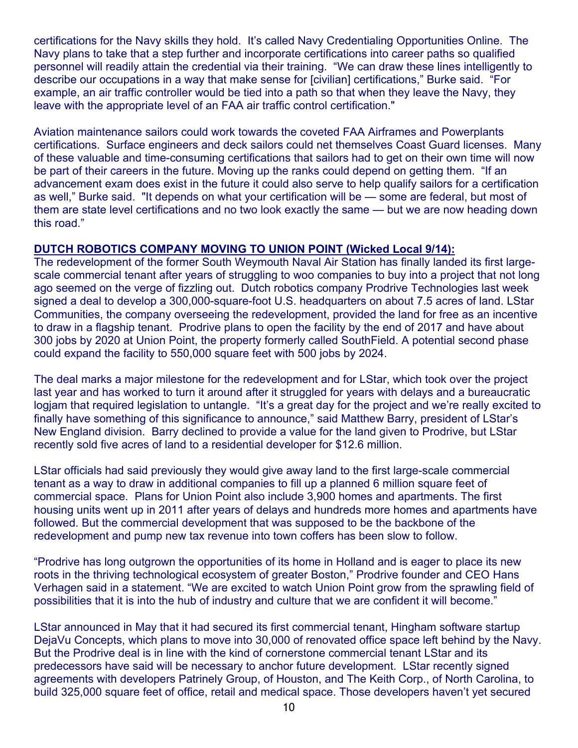certifications for the Navy skills they hold. It's called Navy Credentialing Opportunities Online. The Navy plans to take that a step further and incorporate certifications into career paths so qualified personnel will readily attain the credential via their training. "We can draw these lines intelligently to describe our occupations in a way that make sense for [civilian] certifications," Burke said. "For example, an air traffic controller would be tied into a path so that when they leave the Navy, they leave with the appropriate level of an FAA air traffic control certification."

Aviation maintenance sailors could work towards the coveted FAA Airframes and Powerplants certifications. Surface engineers and deck sailors could net themselves Coast Guard licenses. Many of these valuable and time-consuming certifications that sailors had to get on their own time will now be part of their careers in the future. Moving up the ranks could depend on getting them. "If an advancement exam does exist in the future it could also serve to help qualify sailors for a certification as well," Burke said. "It depends on what your certification will be — some are federal, but most of them are state level certifications and no two look exactly the same — but we are now heading down this road."

#### **DUTCH ROBOTICS COMPANY MOVING TO UNION POINT (Wicked Local 9/14):**

The redevelopment of the former South Weymouth Naval Air Station has finally landed its first largescale commercial tenant after years of struggling to woo companies to buy into a project that not long ago seemed on the verge of fizzling out. Dutch robotics company Prodrive Technologies last week signed a deal to develop a 300,000-square-foot U.S. headquarters on about 7.5 acres of land. LStar Communities, the company overseeing the redevelopment, provided the land for free as an incentive to draw in a flagship tenant. Prodrive plans to open the facility by the end of 2017 and have about 300 jobs by 2020 at Union Point, the property formerly called SouthField. A potential second phase could expand the facility to 550,000 square feet with 500 jobs by 2024.

The deal marks a major milestone for the redevelopment and for LStar, which took over the project last year and has worked to turn it around after it struggled for years with delays and a bureaucratic logjam that required legislation to untangle. "It's a great day for the project and we're really excited to finally have something of this significance to announce," said Matthew Barry, president of LStar's New England division. Barry declined to provide a value for the land given to Prodrive, but LStar recently sold five acres of land to a residential developer for \$12.6 million.

LStar officials had said previously they would give away land to the first large-scale commercial tenant as a way to draw in additional companies to fill up a planned 6 million square feet of commercial space. Plans for Union Point also include 3,900 homes and apartments. The first housing units went up in 2011 after years of delays and hundreds more homes and apartments have followed. But the commercial development that was supposed to be the backbone of the redevelopment and pump new tax revenue into town coffers has been slow to follow.

"Prodrive has long outgrown the opportunities of its home in Holland and is eager to place its new roots in the thriving technological ecosystem of greater Boston," Prodrive founder and CEO Hans Verhagen said in a statement. "We are excited to watch Union Point grow from the sprawling field of possibilities that it is into the hub of industry and culture that we are confident it will become."

LStar announced in May that it had secured its first commercial tenant, Hingham software startup DejaVu Concepts, which plans to move into 30,000 of renovated office space left behind by the Navy. But the Prodrive deal is in line with the kind of cornerstone commercial tenant LStar and its predecessors have said will be necessary to anchor future development. LStar recently signed agreements with developers Patrinely Group, of Houston, and The Keith Corp., of North Carolina, to build 325,000 square feet of office, retail and medical space. Those developers haven't yet secured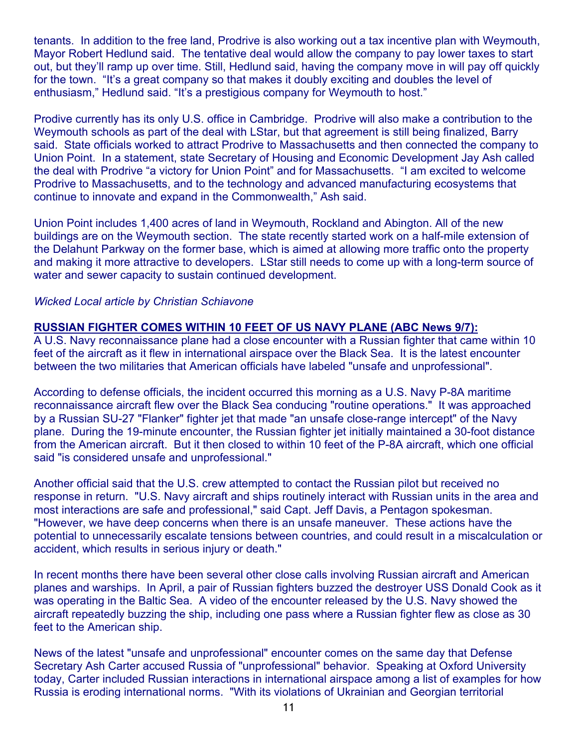tenants. In addition to the free land, Prodrive is also working out a tax incentive plan with Weymouth, Mayor Robert Hedlund said. The tentative deal would allow the company to pay lower taxes to start out, but they'll ramp up over time. Still, Hedlund said, having the company move in will pay off quickly for the town. "It's a great company so that makes it doubly exciting and doubles the level of enthusiasm," Hedlund said. "It's a prestigious company for Weymouth to host."

Prodive currently has its only U.S. office in Cambridge. Prodrive will also make a contribution to the Weymouth schools as part of the deal with LStar, but that agreement is still being finalized, Barry said. State officials worked to attract Prodrive to Massachusetts and then connected the company to Union Point. In a statement, state Secretary of Housing and Economic Development Jay Ash called the deal with Prodrive "a victory for Union Point" and for Massachusetts. "I am excited to welcome Prodrive to Massachusetts, and to the technology and advanced manufacturing ecosystems that continue to innovate and expand in the Commonwealth," Ash said.

Union Point includes 1,400 acres of land in Weymouth, Rockland and Abington. All of the new buildings are on the Weymouth section. The state recently started work on a half-mile extension of the Delahunt Parkway on the former base, which is aimed at allowing more traffic onto the property and making it more attractive to developers. LStar still needs to come up with a long-term source of water and sewer capacity to sustain continued development.

#### *Wicked Local article by Christian Schiavone*

#### **RUSSIAN FIGHTER COMES WITHIN 10 FEET OF US NAVY PLANE (ABC News 9/7):**

A U.S. Navy reconnaissance plane had a close encounter with a Russian fighter that came within 10 feet of the aircraft as it flew in international airspace over the Black Sea. It is the latest encounter between the two militaries that American officials have labeled "unsafe and unprofessional".

According to defense officials, the incident occurred this morning as a U.S. Navy P-8A maritime reconnaissance aircraft flew over the Black Sea conducing "routine operations." It was approached by a Russian SU-27 "Flanker" fighter jet that made "an unsafe close-range intercept" of the Navy plane. During the 19-minute encounter, the Russian fighter jet initially maintained a 30-foot distance from the American aircraft. But it then closed to within 10 feet of the P-8A aircraft, which one official said "is considered unsafe and unprofessional."

Another official said that the U.S. crew attempted to contact the Russian pilot but received no response in return. "U.S. Navy aircraft and ships routinely interact with Russian units in the area and most interactions are safe and professional," said Capt. Jeff Davis, a Pentagon spokesman. "However, we have deep concerns when there is an unsafe maneuver. These actions have the potential to unnecessarily escalate tensions between countries, and could result in a miscalculation or accident, which results in serious injury or death."

In recent months there have been several other close calls involving Russian aircraft and American planes and warships. In April, a pair of Russian fighters buzzed the destroyer USS Donald Cook as it was operating in the Baltic Sea. A video of the encounter released by the U.S. Navy showed the aircraft repeatedly buzzing the ship, including one pass where a Russian fighter flew as close as 30 feet to the American ship.

News of the latest "unsafe and unprofessional" encounter comes on the same day that Defense Secretary Ash Carter accused Russia of "unprofessional" behavior. Speaking at Oxford University today, Carter included Russian interactions in international airspace among a list of examples for how Russia is eroding international norms. "With its violations of Ukrainian and Georgian territorial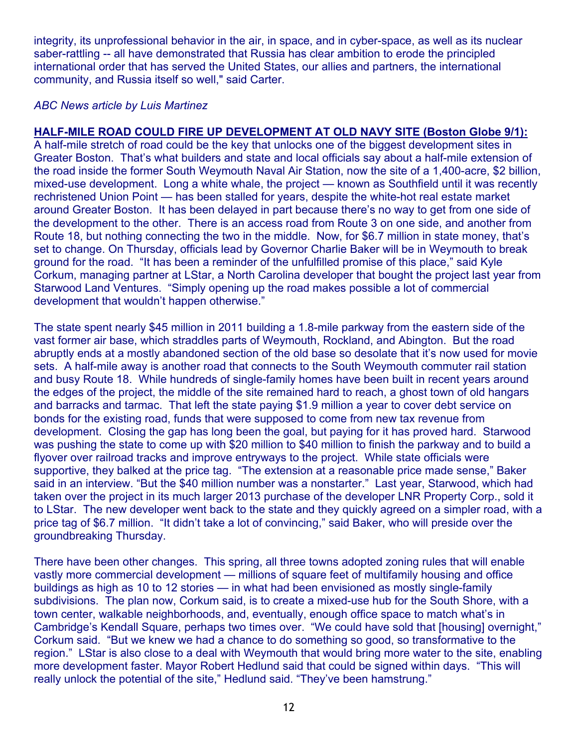integrity, its unprofessional behavior in the air, in space, and in cyber-space, as well as its nuclear saber-rattling -- all have demonstrated that Russia has clear ambition to erode the principled international order that has served the United States, our allies and partners, the international community, and Russia itself so well," said Carter.

#### *ABC News article by Luis Martinez*

## **HALF-MILE ROAD COULD FIRE UP DEVELOPMENT AT OLD NAVY SITE (Boston Globe 9/1):**

A half-mile stretch of road could be the key that unlocks one of the biggest development sites in Greater Boston. That's what builders and state and local officials say about a half-mile extension of the road inside the former South Weymouth Naval Air Station, now the site of a 1,400-acre, \$2 billion, mixed-use development. Long a white whale, the project — known as Southfield until it was recently rechristened Union Point — has been stalled for years, despite the white-hot real estate market around Greater Boston. It has been delayed in part because there's no way to get from one side of the development to the other. There is an access road from Route 3 on one side, and another from Route 18, but nothing connecting the two in the middle. Now, for \$6.7 million in state money, that's set to change. On Thursday, officials lead by Governor Charlie Baker will be in Weymouth to break ground for the road. "It has been a reminder of the unfulfilled promise of this place," said Kyle Corkum, managing partner at LStar, a North Carolina developer that bought the project last year from Starwood Land Ventures. "Simply opening up the road makes possible a lot of commercial development that wouldn't happen otherwise."

The state spent nearly \$45 million in 2011 building a 1.8-mile parkway from the eastern side of the vast former air base, which straddles parts of Weymouth, Rockland, and Abington. But the road abruptly ends at a mostly abandoned section of the old base so desolate that it's now used for movie sets. A half-mile away is another road that connects to the South Weymouth commuter rail station and busy Route 18. While hundreds of single-family homes have been built in recent years around the edges of the project, the middle of the site remained hard to reach, a ghost town of old hangars and barracks and tarmac. That left the state paying \$1.9 million a year to cover debt service on bonds for the existing road, funds that were supposed to come from new tax revenue from development. Closing the gap has long been the goal, but paying for it has proved hard. Starwood was pushing the state to come up with \$20 million to \$40 million to finish the parkway and to build a flyover over railroad tracks and improve entryways to the project. While state officials were supportive, they balked at the price tag. "The extension at a reasonable price made sense," Baker said in an interview. "But the \$40 million number was a nonstarter." Last year, Starwood, which had taken over the project in its much larger 2013 purchase of the developer LNR Property Corp., sold it to LStar. The new developer went back to the state and they quickly agreed on a simpler road, with a price tag of \$6.7 million. "It didn't take a lot of convincing," said Baker, who will preside over the groundbreaking Thursday.

There have been other changes. This spring, all three towns adopted zoning rules that will enable vastly more commercial development — millions of square feet of multifamily housing and office buildings as high as 10 to 12 stories — in what had been envisioned as mostly single-family subdivisions. The plan now, Corkum said, is to create a mixed-use hub for the South Shore, with a town center, walkable neighborhoods, and, eventually, enough office space to match what's in Cambridge's Kendall Square, perhaps two times over. "We could have sold that [housing] overnight," Corkum said. "But we knew we had a chance to do something so good, so transformative to the region." LStar is also close to a deal with Weymouth that would bring more water to the site, enabling more development faster. Mayor Robert Hedlund said that could be signed within days. "This will really unlock the potential of the site," Hedlund said. "They've been hamstrung."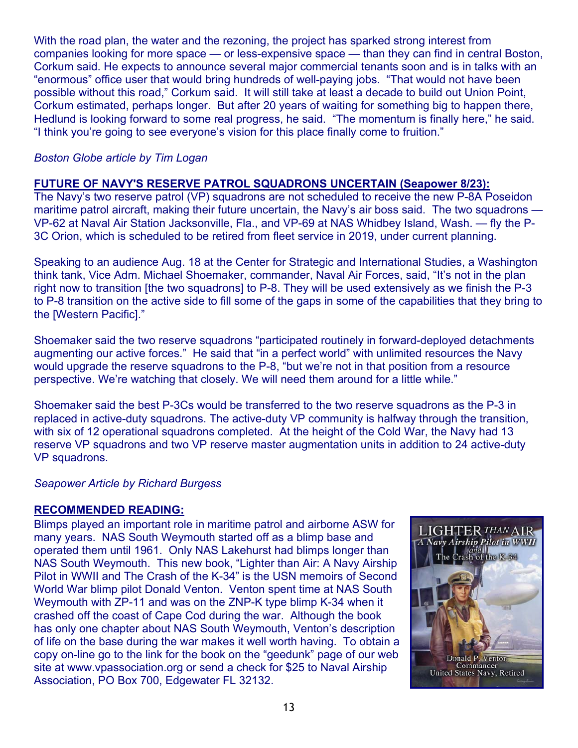With the road plan, the water and the rezoning, the project has sparked strong interest from companies looking for more space — or less-expensive space — than they can find in central Boston, Corkum said. He expects to announce several major commercial tenants soon and is in talks with an "enormous" office user that would bring hundreds of well-paying jobs. "That would not have been possible without this road," Corkum said. It will still take at least a decade to build out Union Point, Corkum estimated, perhaps longer. But after 20 years of waiting for something big to happen there, Hedlund is looking forward to some real progress, he said. "The momentum is finally here," he said. "I think you're going to see everyone's vision for this place finally come to fruition."

### *Boston Globe article by Tim Logan*

#### **FUTURE OF NAVY'S RESERVE PATROL SQUADRONS UNCERTAIN (Seapower 8/23):**

The Navy's two reserve patrol (VP) squadrons are not scheduled to receive the new P-8A Poseidon maritime patrol aircraft, making their future uncertain, the Navy's air boss said. The two squadrons -VP-62 at Naval Air Station Jacksonville, Fla., and VP-69 at NAS Whidbey Island, Wash. — fly the P-3C Orion, which is scheduled to be retired from fleet service in 2019, under current planning.

Speaking to an audience Aug. 18 at the Center for Strategic and International Studies, a Washington think tank, Vice Adm. Michael Shoemaker, commander, Naval Air Forces, said, "It's not in the plan right now to transition [the two squadrons] to P-8. They will be used extensively as we finish the P-3 to P-8 transition on the active side to fill some of the gaps in some of the capabilities that they bring to the [Western Pacific]."

Shoemaker said the two reserve squadrons "participated routinely in forward-deployed detachments augmenting our active forces." He said that "in a perfect world" with unlimited resources the Navy would upgrade the reserve squadrons to the P-8, "but we're not in that position from a resource perspective. We're watching that closely. We will need them around for a little while."

Shoemaker said the best P-3Cs would be transferred to the two reserve squadrons as the P-3 in replaced in active-duty squadrons. The active-duty VP community is halfway through the transition, with six of 12 operational squadrons completed. At the height of the Cold War, the Navy had 13 reserve VP squadrons and two VP reserve master augmentation units in addition to 24 active-duty VP squadrons.

#### *Seapower Article by Richard Burgess*

#### **RECOMMENDED READING:**

Blimps played an important role in maritime patrol and airborne ASW for many years. NAS South Weymouth started off as a blimp base and operated them until 1961. Only NAS Lakehurst had blimps longer than NAS South Weymouth. This new book, "Lighter than Air: A Navy Airship Pilot in WWII and The Crash of the K-34" is the USN memoirs of Second World War blimp pilot Donald Venton. Venton spent time at NAS South Weymouth with ZP-11 and was on the ZNP-K type blimp K-34 when it crashed off the coast of Cape Cod during the war. Although the book has only one chapter about NAS South Weymouth, Venton's description of life on the base during the war makes it well worth having. To obtain a copy on-line go to the link for the book on the "geedunk" page of our web site at www.vpassociation.org or send a check for \$25 to Naval Airship Association, PO Box 700, Edgewater FL 32132.